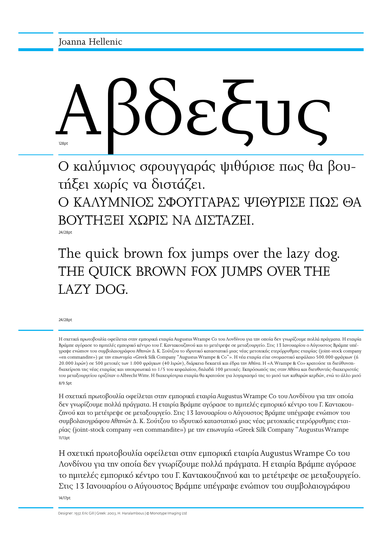# Αβδεξυς 128<sub>p</sub>

Ο καλύμνιος σφουγγαράς ψιθύρισε πως θα βουτήξει χωρίς να διστάζει.

Ο ΚΑΛΥΜΝΙΟΣ ΣΦΟΥΓΓΑΡΑΣ ΨΙΘΥΡΙΣΕ ΠΩΣ ΘΑ ΒΟΥΤΗΞΕΙ ΧΩΡΙΣ ΝΑ ΔΙΣΤΑΖΕΙ.

24/28pt

The quick brown fox jumps over the lazy dog. THE QUICK BROWN FOX JUMPS OVER THE LAZY DOG.

24/28pt

Η σχετική πρωτοβουλία οφείλεται στην εμπορική εταιρία Augustus Wrampe Co του Λονδίνου για την οποία δεν γνωρίζουμε πολλά πράγματα. Η εταιρία Bράμπε αγόρασε το ημιτελές εμπορικό κέντρο του Γ. Καντακουζηνού και το μετέτρεψε σε μεταξουργείο. Στις 13 Ιανουαρίου ο Αύγουστος Bράμπε υπέγραψε ενώπιον του συμβολαιογράφου Αθηνών Δ. K. Σούτζου το ιδρυτικό καταστατικό μιας νέας μετοχικής ετερόρρυθμης εταιρίας (joint-stock company «en commandite») με την επωνυμία «Greek Silk Company "Augustus Wrampe & Co"». Η νέα εταιρία είχε ονομαστικό κεφάλαιο 500.000 φράγκων (ή 20.000 λιρών) σε 500 μετοχές των 1.000 φράγκων (40 λιρών), διάρκεια δεκαετή και έδρα την Αθήνα. Η «A.Wrampe & Co» κρατούσε τη διεύθυνσηδιαχείριση της νέας εταιρίας και υποχρεωτικά το 1/5 του κεφαλαίου, δηλαδή 100 μετοχές. Εκπρόσωπός της στην Αθήνα και διευθυντής-διαχειριστής του μεταξουργείου οριζόταν ο Albrecht Witte. Η διαχειρίστρια εταιρία θα κρατούσε για λογαριασμό της το μισό των καθαρών κερδών, ενώ το άλλο μισό 8/9.5pt

Η σχετική πρωτοβουλία οφείλεται στην εμπορική εταιρία Augustus Wrampe Co του Λονδίνου για την οποία δεν γνωρίζουμε πολλά πράγματα. Η εταιρία Bράμπε αγόρασε το ημιτελές εμπορικό κέντρο του Γ. Καντακουζηνού και το μετέτρεψε σε μεταξουργείο. Στις 13 Ιανουαρίου ο Αύγουστος Bράμπε υπέγραψε ενώπιον του συμβολαιογράφου Αθηνών Δ. K. Σούτζου το ιδρυτικό καταστατικό μιας νέας μετοχικής ετερόρρυθμης εταιρίας (joint-stock company «en commandite») με την επωνυμία «Greek Silk Company "Augustus Wrampe 11/13pt

Η σχετική πρωτοβουλία οφείλεται στην εμπορική εταιρία Augustus Wrampe Co του Λονδίνου για την οποία δεν γνωρίζουμε πολλά πράγματα. Η εταιρία Bράμπε αγόρασε το ημιτελές εμπορικό κέντρο του Γ. Καντακουζηνού και το μετέτρεψε σε μεταξουργείο. Στις 13 Ιανουαρίου ο Αύγουστος Bράμπε υπέγραψε ενώπιον του συμβολαιογράφου 14/17pt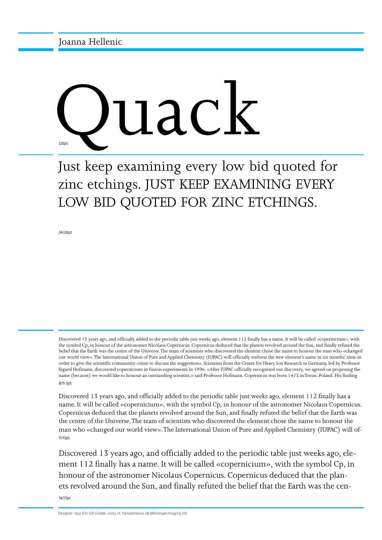

## Just keep examining every low bid quoted for zinc etchings. JUST KEEP EXAMINING EVERY LOW BID QUOTED FOR ZINC ETCHINGS.

24/28pt

8/9.5pt Discovered 13 years ago, and officially added to the periodic table just weeks ago, element 112 finally has a name. It will be called «copernicium», with the symbol Cp, in honour of the astronomer Nicolaus Copernicus. Copernicus deduced that the planets revolved around the Sun, and finally refuted the belief that the Earth was the centre of the Universe. The team of scientists who discovered the element chose the name to honour the man who «changed our world view». The International Union of Pure and Applied Chemistry (IUPAC) will officially endorse the new element's name in six months' time in order to give the scientific community «time to discuss the suggestion». Scientists from the Centre for Heavy Ion Research in Germany, led by Professor Sigurd Hofmann, discovered copernicium in fusion experiments in 1996. «After IUPAC officially recognised our discovery, we agreed on proposing the name (because) we would like to honour an outstanding scientist,» said Professor Hofmann. Copernicus was born 1473 in Torun, Poland. His finding

11/13pt Discovered 13 years ago, and officially added to the periodic table just weeks ago, element 112 finally has a name. It will be called «copernicium», with the symbol Cp, in honour of the astronomer Nicolaus Copernicus. Copernicus deduced that the planets revolved around the Sun, and finally refuted the belief that the Earth was the centre of the Universe. The team of scientists who discovered the element chose the name to honour the man who «changed our world view». The International Union of Pure and Applied Chemistry (IUPAC) will of-

14/17pt Discovered 13 years ago, and officially added to the periodic table just weeks ago, element 112 finally has a name. It will be called «copernicium», with the symbol Cp, in honour of the astronomer Nicolaus Copernicus. Copernicus deduced that the planets revolved around the Sun, and finally refuted the belief that the Earth was the cen-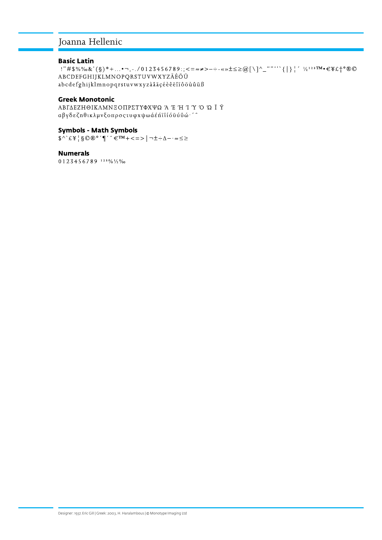### Joanna Hellenic

#### **Basic Latin**

!"#\$%%&'(§)\*+...•¬,-./0123456789:;<=≈≠>-÷-«»±≤≥@[\]^\_""'``{|}|''½<sup>123TM</sup>•€\£†°®© ABCDEFGHIJKLMNOPQRSTUVWXYZÄÉÖÜ abcdefghijklmnopqrstuvwxyzàâäçéèêëîïôöùûüß

#### **Greek Monotonic**

ΑΒΓΔΕΖΗΘΙΚΛΜΝΕΟΠΡΣΤΥΦΧΨΩ Ά Έ Ή Ί Ύ Ό Ώ Ϊ́ Ϋ αβγδεζηθικλμνξοπρσςτυφχψωάέ ή "ιό " "

#### **Symbols - Math Symbols**

 $\text{Cov}^{\bullet}(\mathcal{L}^{\vee}) = \sum_{i=1}^{n} \sum_{j=1}^{n} \sum_{j=1}^{n} \sum_{j=1}^{n} \sum_{j=1}^{n} \sum_{j=1}^{n} \sum_{j=1}^{n} \sum_{j=1}^{n} \sum_{j=1}^{n} \sum_{j=1}^{n} \sum_{j=1}^{n} \sum_{j=1}^{n} \sum_{j=1}^{n} \sum_{j=1}^{n} \sum_{j=1}^{n} \sum_{j=1}^{n} \sum_{j=1}^{n} \sum_{j=1}^{n} \sum_{j=1}^{n} \sum_{j=1}^{$ 

#### **Numerals**

 $0123456789$ <sup>123%</sup>/2%